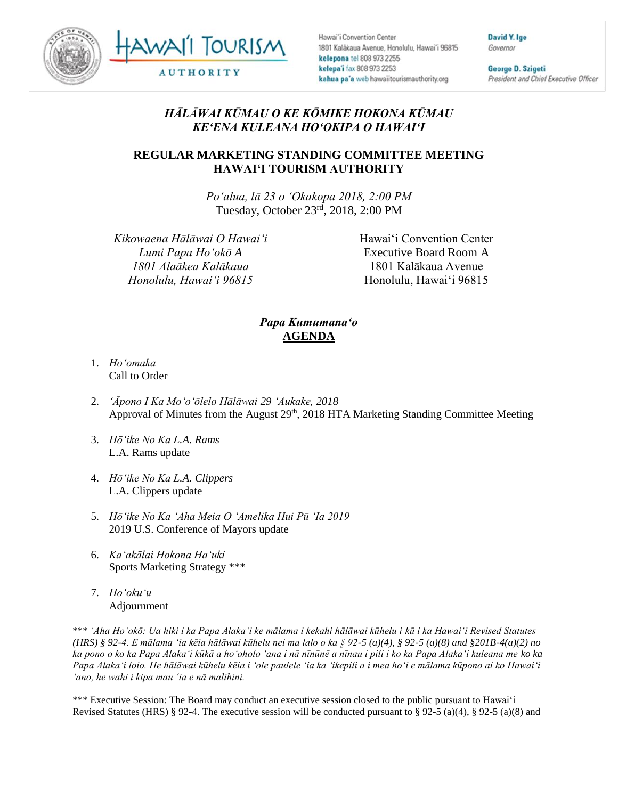



Hawai'i Convention Center 1801 Kalakaua Avenue, Honolulu, Hawai'i 96815 kelepona tel 808 973 2255 kelepa'i fax 808 973 2253 kahua pa'a web hawaiitourismauthority.org

David Y. Ige Governor

George D. Szigeti President and Chief Executive Officer

## *HĀLĀWAI KŪMAU O KE KŌMIKE HOKONA KŪMAU KEʻENA KULEANA HOʻOKIPA O HAWAIʻI*

## **REGULAR MARKETING STANDING COMMITTEE MEETING HAWAI'I TOURISM AUTHORITY**

*Poʻalua, lā 23 o ʻOkakopa 2018, 2:00 PM* Tuesday, October 23 rd, 2018, 2:00 PM

*Kikowaena Hālāwai O Hawaiʻi Lumi Papa Hoʻokō A 1801 Alaākea Kalākaua Honolulu, Hawaiʻi 96815*

Hawai'i Convention Center Executive Board Room A 1801 Kalākaua Avenue Honolulu, Hawai'i 96815

## *Papa Kumumanaʻo* **AGENDA**

- 1. *Ho'omaka* Call to Order
- 2. *'Āpono I Ka Moʻoʻōlelo Hālāwai 29 ʻAukake, 2018* Approval of Minutes from the August 29<sup>th</sup>, 2018 HTA Marketing Standing Committee Meeting
- 3. *Hōʻike No Ka L.A. Rams* L.A. Rams update
- 4. *Hōʻike No Ka L.A. Clippers* L.A. Clippers update
- 5. *Hōʻike No Ka ʻAha Meia O ʻAmelika Hui Pū ʻIa 2019* 2019 U.S. Conference of Mayors update
- 6. *Kaʻakālai Hokona Haʻuki* Sports Marketing Strategy \*\*\*
- 7. *Hoʻokuʻu* Adjournment

\*\*\* *ʻAha Hoʻokō: Ua hiki i ka Papa Alakaʻi ke mālama i kekahi hālāwai kūhelu i kū i ka Hawaiʻi Revised Statutes (HRS) § 92-4. E mālama ʻia kēia hālāwai kūhelu nei ma lalo o ka § 92-5 (a)(4), § 92-5 (a)(8) and §201B-4(a)(2) no ka pono o ko ka Papa Alakaʻi kūkā a hoʻoholo ʻana i nā nīnūnē a nīnau i pili i ko ka Papa Alakaʻi kuleana me ko ka Papa Alakaʻi loio. He hālāwai kūhelu kēia i ʻole paulele ʻia ka ʻikepili a i mea hoʻi e mālama kūpono ai ko Hawaiʻi ʻano, he wahi i kipa mau ʻia e nā malihini.*

\*\*\* Executive Session: The Board may conduct an executive session closed to the public pursuant to Hawai'i Revised Statutes (HRS) § 92-4. The executive session will be conducted pursuant to § 92-5 (a)(4), § 92-5 (a)(8) and